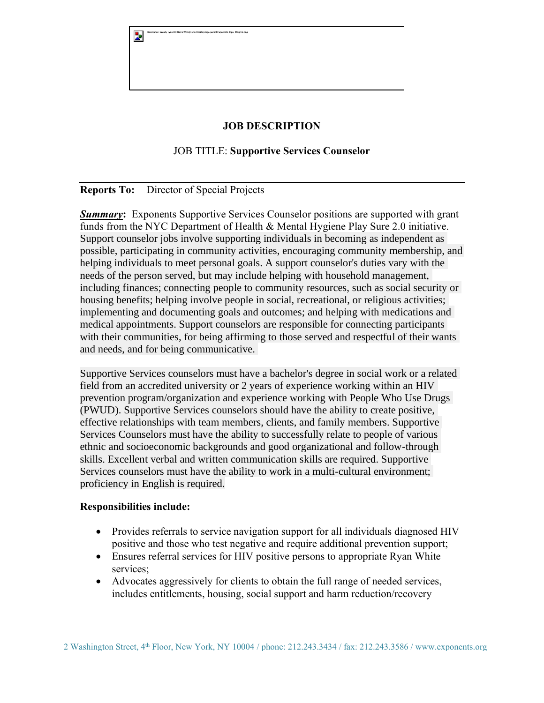| Þ | Description: Wendy Lynn HD:Users:WendyLynn:Desktop:logo.packet:Exponents_logo_ltbkgrnd.png |
|---|--------------------------------------------------------------------------------------------|
|   |                                                                                            |
|   |                                                                                            |
|   |                                                                                            |

# **JOB DESCRIPTION**

# JOB TITLE: **Supportive Services Counselor**

## **Reports To:** Director of Special Projects

**Summary:** Exponents Supportive Services Counselor positions are supported with grant funds from the NYC Department of Health & Mental Hygiene Play Sure 2.0 initiative. Support counselor jobs involve supporting individuals in becoming as independent as possible, participating in community activities, encouraging community membership, and helping individuals to meet personal goals. A support counselor's duties vary with the needs of the person served, but may include helping with household management, including finances; connecting people to community resources, such as social security or housing benefits; helping involve people in social, recreational, or religious activities; implementing and documenting goals and outcomes; and helping with medications and medical appointments. Support counselors are responsible for connecting participants with their communities, for being affirming to those served and respectful of their wants and needs, and for being communicative.

Supportive Services counselors must have a bachelor's degree in social work or a related field from an accredited university or 2 years of experience working within an HIV prevention program/organization and experience working with People Who Use Drugs (PWUD). Supportive Services counselors should have the ability to create positive, effective relationships with team members, clients, and family members. Supportive Services Counselors must have the ability to successfully relate to people of various ethnic and socioeconomic backgrounds and good organizational and follow-through skills. Excellent verbal and written communication skills are required. Supportive Services counselors must have the ability to work in a multi-cultural environment; proficiency in English is required.

#### **Responsibilities include:**

- Provides referrals to service navigation support for all individuals diagnosed HIV positive and those who test negative and require additional prevention support;
- Ensures referral services for HIV positive persons to appropriate Ryan White services;
- Advocates aggressively for clients to obtain the full range of needed services, includes entitlements, housing, social support and harm reduction/recovery